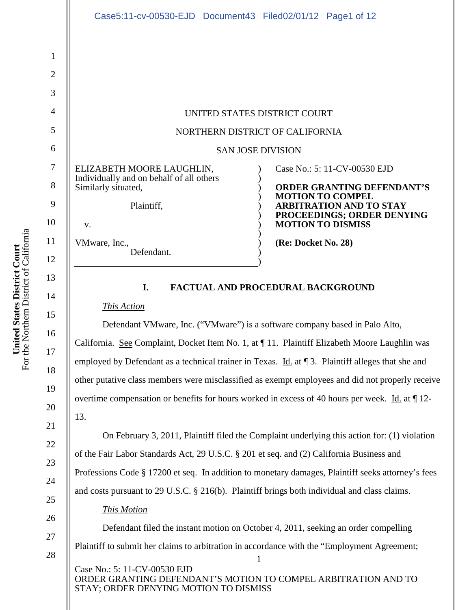| Case5:11-cv-00530-EJD Document43 Filed02/01/12 Page1 of 12                                                       |                                                                                                                                                                                          |
|------------------------------------------------------------------------------------------------------------------|------------------------------------------------------------------------------------------------------------------------------------------------------------------------------------------|
|                                                                                                                  |                                                                                                                                                                                          |
|                                                                                                                  |                                                                                                                                                                                          |
| UNITED STATES DISTRICT COURT                                                                                     |                                                                                                                                                                                          |
| NORTHERN DISTRICT OF CALIFORNIA                                                                                  |                                                                                                                                                                                          |
| <b>SAN JOSE DIVISION</b>                                                                                         |                                                                                                                                                                                          |
| ELIZABETH MOORE LAUGHLIN,<br>Individually and on behalf of all others<br>Similarly situated,<br>Plaintiff,<br>V. | Case No.: 5: 11-CV-00530 EJD<br><b>ORDER GRANTING DEFENDANT'S</b><br><b>MOTION TO COMPEL</b><br><b>ARBITRATION AND TO STAY</b><br>PROCEEDINGS; ORDER DENYING<br><b>MOTION TO DISMISS</b> |
| VMware, Inc.,<br>Defendant.                                                                                      | (Re: Docket No. 28)                                                                                                                                                                      |
| L.                                                                                                               | <b>FACTUAL AND PROCEDURAL BACKGROUND</b>                                                                                                                                                 |

*This Action*

Defendant VMware, Inc. ("VMware") is a software company based in Palo Alto, California. See Complaint, Docket Item No. 1, at ¶ 11. Plaintiff Elizabeth Moore Laughlin was employed by Defendant as a technical trainer in Texas. Id. at ¶ 3. Plaintiff alleges that she and other putative class members were misclassified as exempt employees and did not properly receive overtime compensation or benefits for hours worked in excess of 40 hours per week. Id. at ¶ 12- 13.

On February 3, 2011, Plaintiff filed the Complaint underlying this action for: (1) violation of the Fair Labor Standards Act, 29 U.S.C. § 201 et seq. and (2) California Business and Professions Code § 17200 et seq. In addition to monetary damages, Plaintiff seeks attorney's fees and costs pursuant to 29 U.S.C. § 216(b). Plaintiff brings both individual and class claims.

*This Motion*

1 Case No.: 5: 11-CV-00530 EJD ORDER GRANTING DEFENDANT'S MOTION TO COMPEL ARBITRATION AND TO Defendant filed the instant motion on October 4, 2011, seeking an order compelling Plaintiff to submit her claims to arbitration in accordance with the "Employment Agreement;

STAY; ORDER DENYING MOTION TO DISMISS

15

16

17

18

19

20

21

22

23

24

25

26

27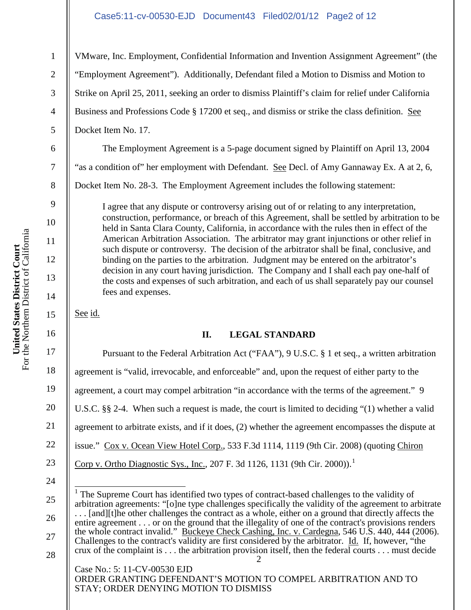### Case5:11-cv-00530-EJD Document43 Filed02/01/12 Page2 of 12

VMware, Inc. Employment, Confidential Information and Invention Assignment Agreement" (the "Employment Agreement"). Additionally, Defendant filed a Motion to Dismiss and Motion to Strike on April 25, 2011, seeking an order to dismiss Plaintiff's claim for relief under California Business and Professions Code § 17200 et seq., and dismiss or strike the class definition. See Docket Item No. 17.

The Employment Agreement is a 5-page document signed by Plaintiff on April 13, 2004 "as a condition of" her employment with Defendant. See Decl. of Amy Gannaway Ex. A at 2, 6, Docket Item No. 28-3. The Employment Agreement includes the following statement:

I agree that any dispute or controversy arising out of or relating to any interpretation, construction, performance, or breach of this Agreement, shall be settled by arbitration to be held in Santa Clara County, California, in accordance with the rules then in effect of the American Arbitration Association. The arbitrator may grant injunctions or other relief in such dispute or controversy. The decision of the arbitrator shall be final, conclusive, and binding on the parties to the arbitration. Judgment may be entered on the arbitrator's decision in any court having jurisdiction. The Company and I shall each pay one-half of the costs and expenses of such arbitration, and each of us shall separately pay our counsel fees and expenses.

See id.

# **II. LEGAL STANDARD**

Pursuant to the Federal Arbitration Act ("FAA"), 9 U.S.C. § 1 et seq., a written arbitration agreement is "valid, irrevocable, and enforceable" and, upon the request of either party to the agreement, a court may compel arbitration "in accordance with the terms of the agreement." 9 U.S.C. §§ 2-4. When such a request is made, the court is limited to deciding "(1) whether a valid agreement to arbitrate exists, and if it does, (2) whether the agreement encompasses the dispute at issue." Cox v. Ocean View Hotel Corp., 533 F.3d 1114, 1119 (9th Cir. 2008) (quoting Chiron Corp v. Ortho Diagnostic Sys., Inc., 207 F. 3d 1126, 1131 (9th Cir. 2000)).<sup>1</sup>

ORDER GRANTING DEFENDANT'S MOTION TO COMPEL ARBITRATION AND TO STAY; ORDER DENYING MOTION TO DISMISS

1

2

3

4

5

6

7

8

9

10

11

12

13

14

15

16

17

18

19

20

21

22

23

24

26

27

<sup>2</sup> Case No.: 5: 11-CV-00530 EJD 25 The Supreme Court has identified two types of contract-based challenges to the validity of arbitration agreements: "[o]ne type challenges specifically the validity of the agreement to arbitrate ... [and][t]he other challenges the contract as a whole, either on a ground that directly affects the entire agreement . . . or on the ground that the illegality of one of the contract's provisions renders the whole contract invalid." Buckeye Check Cashing, Inc. v. Cardegna, 546 U.S. 440, 444 (2006). Challenges to the contract's validity are first considered by the arbitrator. Id. If, however, "the crux of the complaint is . . . the arbitration provision itself, then the federal courts . . . must decide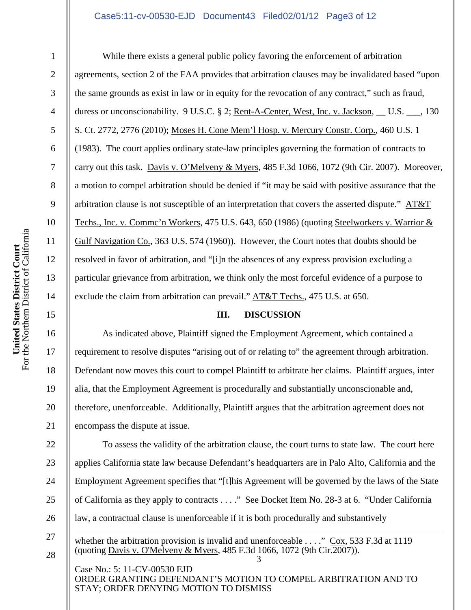### Case5:11-cv-00530-EJD Document43 Filed02/01/12 Page3 of 12

1

2

3

4

5

6

7

8

9

10

11

12

13

14

15

16

17

18

19

20

21

22

23

24

25

26

27

28

While there exists a general public policy favoring the enforcement of arbitration agreements, section 2 of the FAA provides that arbitration clauses may be invalidated based "upon the same grounds as exist in law or in equity for the revocation of any contract," such as fraud, duress or unconscionability. 9 U.S.C. § 2; Rent-A-Center, West, Inc. v. Jackson, U.S. . 130 S. Ct. 2772, 2776 (2010); Moses H. Cone Mem'l Hosp. v. Mercury Constr. Corp., 460 U.S. 1 (1983). The court applies ordinary state-law principles governing the formation of contracts to carry out this task. Davis v. O'Melveny & Myers, 485 F.3d 1066, 1072 (9th Cir. 2007). Moreover, a motion to compel arbitration should be denied if "it may be said with positive assurance that the arbitration clause is not susceptible of an interpretation that covers the asserted dispute." AT&T Techs., Inc. v. Commc'n Workers, 475 U.S. 643, 650 (1986) (quoting Steelworkers v. Warrior & Gulf Navigation Co., 363 U.S. 574 (1960)). However, the Court notes that doubts should be resolved in favor of arbitration, and "[i]n the absences of any express provision excluding a particular grievance from arbitration, we think only the most forceful evidence of a purpose to exclude the claim from arbitration can prevail." AT&T Techs., 475 U.S. at 650.

### **III. DISCUSSION**

As indicated above, Plaintiff signed the Employment Agreement, which contained a requirement to resolve disputes "arising out of or relating to" the agreement through arbitration. Defendant now moves this court to compel Plaintiff to arbitrate her claims. Plaintiff argues, inter alia, that the Employment Agreement is procedurally and substantially unconscionable and, therefore, unenforceable. Additionally, Plaintiff argues that the arbitration agreement does not encompass the dispute at issue.

To assess the validity of the arbitration clause, the court turns to state law. The court here applies California state law because Defendant's headquarters are in Palo Alto, California and the Employment Agreement specifies that "[t]his Agreement will be governed by the laws of the State of California as they apply to contracts . . . ." See Docket Item No. 28-3 at 6. "Under California law, a contractual clause is unenforceable if it is both procedurally and substantively

3 whether the arbitration provision is invalid and unenforceable  $\ldots$ ." Cox, 533 F.3d at 1119 (quoting Davis v. O'Melveny & Myers, 485 F.3d 1066, 1072 (9th Cir.2007)).

Case No.: 5: 11-CV-00530 EJD ORDER GRANTING DEFENDANT'S MOTION TO COMPEL ARBITRATION AND TO STAY; ORDER DENYING MOTION TO DISMISS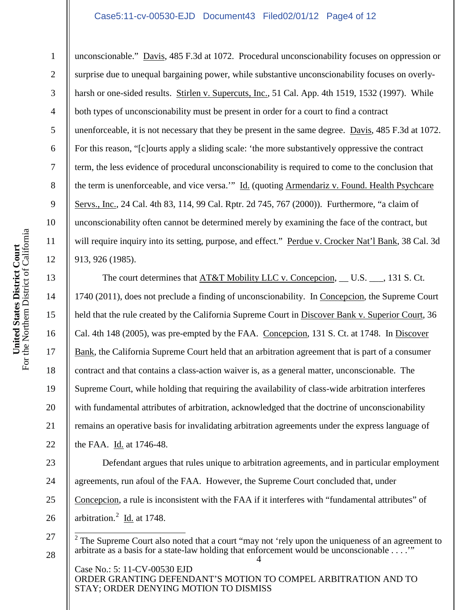### Case5:11-cv-00530-EJD Document43 Filed02/01/12 Page4 of 12

unconscionable." Davis, 485 F.3d at 1072. Procedural unconscionability focuses on oppression or surprise due to unequal bargaining power, while substantive unconscionability focuses on overlyharsh or one-sided results. Stirlen v. Supercuts, Inc., 51 Cal. App. 4th 1519, 1532 (1997). While both types of unconscionability must be present in order for a court to find a contract unenforceable, it is not necessary that they be present in the same degree. Davis, 485 F.3d at 1072. For this reason, "[c]ourts apply a sliding scale: 'the more substantively oppressive the contract term, the less evidence of procedural unconscionability is required to come to the conclusion that the term is unenforceable, and vice versa.'" Id. (quoting Armendariz v. Found. Health Psychcare Servs., Inc., 24 Cal. 4th 83, 114, 99 Cal. Rptr. 2d 745, 767 (2000)). Furthermore, "a claim of unconscionability often cannot be determined merely by examining the face of the contract, but will require inquiry into its setting, purpose, and effect." Perdue v. Crocker Nat'l Bank, 38 Cal. 3d 913, 926 (1985).

The court determines that AT&T Mobility LLC v. Concepcion, U.S.  $\ldots$ , 131 S. Ct. 1740 (2011), does not preclude a finding of unconscionability. In Concepcion, the Supreme Court held that the rule created by the California Supreme Court in Discover Bank v. Superior Court, 36 Cal. 4th 148 (2005), was pre-empted by the FAA. Concepcion, 131 S. Ct. at 1748. In Discover Bank, the California Supreme Court held that an arbitration agreement that is part of a consumer contract and that contains a class-action waiver is, as a general matter, unconscionable. The Supreme Court, while holding that requiring the availability of class-wide arbitration interferes with fundamental attributes of arbitration, acknowledged that the doctrine of unconscionability remains an operative basis for invalidating arbitration agreements under the express language of the FAA. Id. at 1746-48.

Defendant argues that rules unique to arbitration agreements, and in particular employment agreements, run afoul of the FAA. However, the Supreme Court concluded that, under Concepcion, a rule is inconsistent with the FAA if it interferes with "fundamental attributes" of arbitration. $^{2}$  Id. at 1748.

Case No.: 5: 11-CV-00530 EJD ORDER GRANTING DEFENDANT'S MOTION TO COMPEL ARBITRATION AND TO STAY; ORDER DENYING MOTION TO DISMISS

1

2

3

4

5

6

7

8

9

10

11

12

13

14

15

16

17

18

19

20

21

22

23

24

25

26

27

<sup>4</sup> <sup>2</sup> The Supreme Court also noted that a court "may not 'rely upon the uniqueness of an agreement to arbitrate as a basis for a state-law holding that enforcement would be unconscionable . . . .'"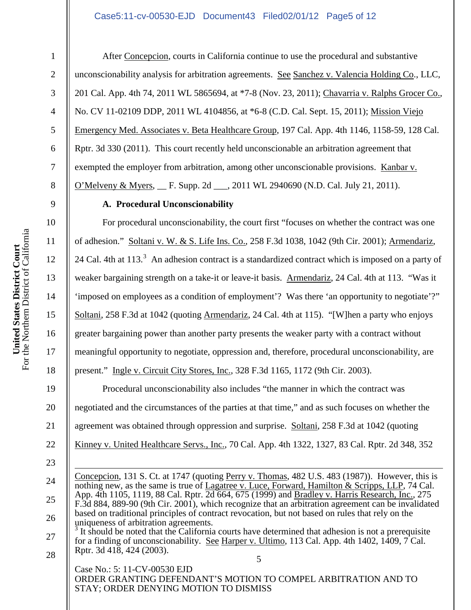### Case5:11-cv-00530-EJD Document43 Filed02/01/12 Page5 of 12

1

2

3

4

5

6

7

8

9

10

11

12

13

14

15

16

17

18

19

20

21

22

23

24

25

26

After Concepcion, courts in California continue to use the procedural and substantive unconscionability analysis for arbitration agreements. See Sanchez v. Valencia Holding Co., LLC, 201 Cal. App. 4th 74, 2011 WL 5865694, at \*7-8 (Nov. 23, 2011); Chavarria v. Ralphs Grocer Co., No. CV 11-02109 DDP, 2011 WL 4104856, at \*6-8 (C.D. Cal. Sept. 15, 2011); Mission Viejo Emergency Med. Associates v. Beta Healthcare Group, 197 Cal. App. 4th 1146, 1158-59, 128 Cal. Rptr. 3d 330 (2011). This court recently held unconscionable an arbitration agreement that exempted the employer from arbitration, among other unconscionable provisions. Kanbar v. O'Melveny & Myers, F. Supp. 2d \_\_\_, 2011 WL 2940690 (N.D. Cal. July 21, 2011).

### **A. Procedural Unconscionability**

For procedural unconscionability, the court first "focuses on whether the contract was one of adhesion." Soltani v. W. & S. Life Ins. Co., 258 F.3d 1038, 1042 (9th Cir. 2001); Armendariz, 24 Cal. 4th at 113.<sup>3</sup> An adhesion contract is a standardized contract which is imposed on a party of weaker bargaining strength on a take-it or leave-it basis. Armendariz, 24 Cal. 4th at 113. "Was it 'imposed on employees as a condition of employment'? Was there 'an opportunity to negotiate'?" Soltani, 258 F.3d at 1042 (quoting Armendariz, 24 Cal. 4th at 115). "[W]hen a party who enjoys greater bargaining power than another party presents the weaker party with a contract without meaningful opportunity to negotiate, oppression and, therefore, procedural unconscionability, are present." Ingle v. Circuit City Stores, Inc., 328 F.3d 1165, 1172 (9th Cir. 2003).

Procedural unconscionability also includes "the manner in which the contract was negotiated and the circumstances of the parties at that time," and as such focuses on whether the agreement was obtained through oppression and surprise. Soltani, 258 F.3d at 1042 (quoting Kinney v. United Healthcare Servs., Inc., 70 Cal. App. 4th 1322, 1327, 83 Cal. Rptr. 2d 348, 352

Concepcion, 131 S. Ct. at 1747 (quoting Perry v. Thomas, 482 U.S. 483 (1987)). However, this is nothing new, as the same is true of Lagatree v. Luce, Forward, Hamilton & Scripps, LLP, 74 Cal. App. 4th 1105, 1119, 88 Cal. Rptr. 2d 664, 675 (1999) and Bradley v. Harris Research, Inc., 275 F.3d 884, 889-90 (9th Cir. 2001), which recognize that an arbitration agreement can be invalidated based on traditional principles of contract revocation, but not based on rules that rely on the uniqueness of arbitration agreements.

5 27 28 It should be noted that the California courts have determined that adhesion is not a prerequisite for a finding of unconscionability. See Harper v. Ultimo, 113 Cal. App. 4th 1402, 1409, 7 Cal. Rptr. 3d 418, 424 (2003).

Case No.: 5: 11-CV-00530 EJD ORDER GRANTING DEFENDANT'S MOTION TO COMPEL ARBITRATION AND TO STAY; ORDER DENYING MOTION TO DISMISS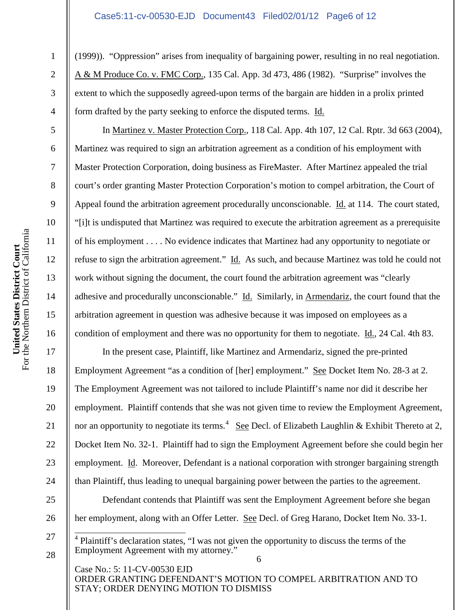### Case5:11-cv-00530-EJD Document43 Filed02/01/12 Page6 of 12

(1999)). "Oppression" arises from inequality of bargaining power, resulting in no real negotiation. A & M Produce Co. v. FMC Corp., 135 Cal. App. 3d 473, 486 (1982). "Surprise" involves the extent to which the supposedly agreed-upon terms of the bargain are hidden in a prolix printed form drafted by the party seeking to enforce the disputed terms. Id.

In Martinez v. Master Protection Corp., 118 Cal. App. 4th 107, 12 Cal. Rptr. 3d 663 (2004), Martinez was required to sign an arbitration agreement as a condition of his employment with Master Protection Corporation, doing business as FireMaster. After Martinez appealed the trial court's order granting Master Protection Corporation's motion to compel arbitration, the Court of Appeal found the arbitration agreement procedurally unconscionable. Id. at 114. The court stated, "[i]t is undisputed that Martinez was required to execute the arbitration agreement as a prerequisite of his employment . . . . No evidence indicates that Martinez had any opportunity to negotiate or refuse to sign the arbitration agreement." Id. As such, and because Martinez was told he could not work without signing the document, the court found the arbitration agreement was "clearly adhesive and procedurally unconscionable." Id. Similarly, in Armendariz, the court found that the arbitration agreement in question was adhesive because it was imposed on employees as a condition of employment and there was no opportunity for them to negotiate. Id., 24 Cal. 4th 83.

In the present case, Plaintiff, like Martinez and Armendariz, signed the pre-printed Employment Agreement "as a condition of [her] employment." See Docket Item No. 28-3 at 2. The Employment Agreement was not tailored to include Plaintiff's name nor did it describe her employment. Plaintiff contends that she was not given time to review the Employment Agreement, nor an opportunity to negotiate its terms.<sup>4</sup> See Decl. of Elizabeth Laughlin & Exhibit Thereto at 2, Docket Item No. 32-1. Plaintiff had to sign the Employment Agreement before she could begin her employment. Id. Moreover, Defendant is a national corporation with stronger bargaining strength than Plaintiff, thus leading to unequal bargaining power between the parties to the agreement.

Defendant contends that Plaintiff was sent the Employment Agreement before she began her employment, along with an Offer Letter. See Decl. of Greg Harano, Docket Item No. 33-1.

Case No.: 5: 11-CV-00530 EJD ORDER GRANTING DEFENDANT'S MOTION TO COMPEL ARBITRATION AND TO STAY; ORDER DENYING MOTION TO DISMISS

1

2

3

4

5

6

7

8

9

10

11

12

13

14

15

16

17

18

19

20

21

22

23

24

25

26

27

<sup>6</sup> Plaintiff's declaration states, "I was not given the opportunity to discuss the terms of the Employment Agreement with my attorney."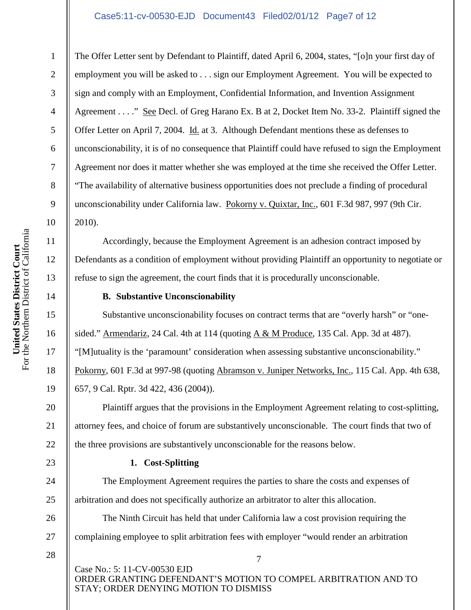# Case5:11-cv-00530-EJD Document43 Filed02/01/12 Page7 of 12

The Offer Letter sent by Defendant to Plaintiff, dated April 6, 2004, states, "[o]n your first day of employment you will be asked to . . . sign our Employment Agreement. You will be expected to sign and comply with an Employment, Confidential Information, and Invention Assignment Agreement . . . ." See Decl. of Greg Harano Ex. B at 2, Docket Item No. 33-2. Plaintiff signed the Offer Letter on April 7, 2004. Id. at 3. Although Defendant mentions these as defenses to unconscionability, it is of no consequence that Plaintiff could have refused to sign the Employment Agreement nor does it matter whether she was employed at the time she received the Offer Letter. "The availability of alternative business opportunities does not preclude a finding of procedural unconscionability under California law. Pokorny v. Quixtar, Inc., 601 F.3d 987, 997 (9th Cir. 2010).

Accordingly, because the Employment Agreement is an adhesion contract imposed by Defendants as a condition of employment without providing Plaintiff an opportunity to negotiate or refuse to sign the agreement, the court finds that it is procedurally unconscionable.

# **B. Substantive Unconscionability**

Substantive unconscionability focuses on contract terms that are "overly harsh" or "onesided." Armendariz, 24 Cal. 4th at 114 (quoting A & M Produce, 135 Cal. App. 3d at 487). "[M]utuality is the 'paramount' consideration when assessing substantive unconscionability." Pokorny, 601 F.3d at 997-98 (quoting Abramson v. Juniper Networks, Inc., 115 Cal. App. 4th 638, 657, 9 Cal. Rptr. 3d 422, 436 (2004)).

Plaintiff argues that the provisions in the Employment Agreement relating to cost-splitting, attorney fees, and choice of forum are substantively unconscionable. The court finds that two of the three provisions are substantively unconscionable for the reasons below.

# **1. Cost-Splitting**

The Employment Agreement requires the parties to share the costs and expenses of arbitration and does not specifically authorize an arbitrator to alter this allocation.

The Ninth Circuit has held that under California law a cost provision requiring the complaining employee to split arbitration fees with employer "would render an arbitration

28

Case No.: 5: 11-CV-00530 EJD ORDER GRANTING DEFENDANT'S MOTION TO COMPEL ARBITRATION AND TO STAY; ORDER DENYING MOTION TO DISMISS

7

1

2

3

4

5

6

7

8

9

10

11

12

13

14

15

16

17

18

19

20

21

22

23

24

25

26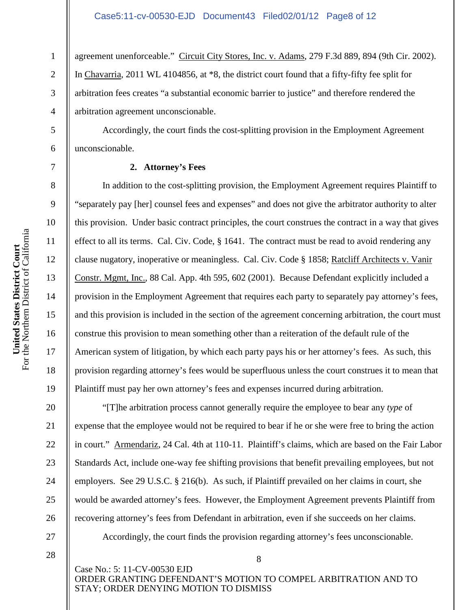agreement unenforceable." Circuit City Stores, Inc. v. Adams, 279 F.3d 889, 894 (9th Cir. 2002). In Chavarria, 2011 WL 4104856, at \*8, the district court found that a fifty-fifty fee split for arbitration fees creates "a substantial economic barrier to justice" and therefore rendered the arbitration agreement unconscionable.

Accordingly, the court finds the cost-splitting provision in the Employment Agreement unconscionable.

# **2. Attorney's Fees**

In addition to the cost-splitting provision, the Employment Agreement requires Plaintiff to "separately pay [her] counsel fees and expenses" and does not give the arbitrator authority to alter this provision. Under basic contract principles, the court construes the contract in a way that gives effect to all its terms. Cal. Civ. Code, § 1641. The contract must be read to avoid rendering any clause nugatory, inoperative or meaningless. Cal. Civ. Code § 1858; Ratcliff Architects v. Vanir Constr. Mgmt, Inc., 88 Cal. App. 4th 595, 602 (2001). Because Defendant explicitly included a provision in the Employment Agreement that requires each party to separately pay attorney's fees, and this provision is included in the section of the agreement concerning arbitration, the court must construe this provision to mean something other than a reiteration of the default rule of the American system of litigation, by which each party pays his or her attorney's fees. As such, this provision regarding attorney's fees would be superfluous unless the court construes it to mean that Plaintiff must pay her own attorney's fees and expenses incurred during arbitration.

"[T]he arbitration process cannot generally require the employee to bear any *type* of expense that the employee would not be required to bear if he or she were free to bring the action in court." Armendariz, 24 Cal. 4th at 110-11. Plaintiff's claims, which are based on the Fair Labor Standards Act, include one-way fee shifting provisions that benefit prevailing employees, but not employers. See 29 U.S.C. § 216(b). As such, if Plaintiff prevailed on her claims in court, she would be awarded attorney's fees. However, the Employment Agreement prevents Plaintiff from recovering attorney's fees from Defendant in arbitration, even if she succeeds on her claims.

Accordingly, the court finds the provision regarding attorney's fees unconscionable.

8 Case No.: 5: 11-CV-00530 EJD ORDER GRANTING DEFENDANT'S MOTION TO COMPEL ARBITRATION AND TO STAY; ORDER DENYING MOTION TO DISMISS

1

2

3

4

5

6

7

8

9

10

11

12

13

14

15

16

17

18

19

20

21

22

23

24

25

26

27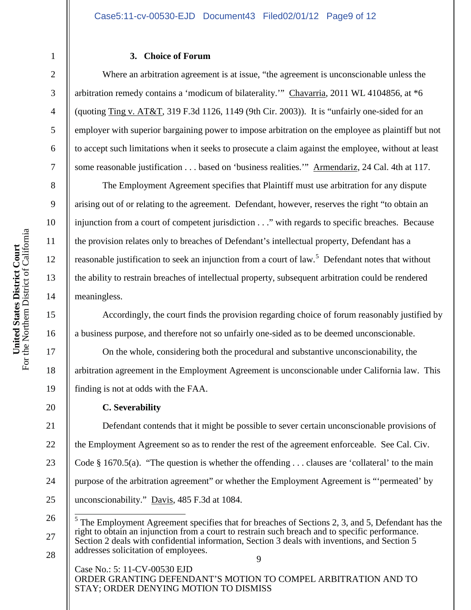### **3. Choice of Forum**

Where an arbitration agreement is at issue, "the agreement is unconscionable unless the arbitration remedy contains a 'modicum of bilaterality.'" Chavarria, 2011 WL 4104856, at \*6 (quoting Ting v.  $AT&T$ , 319 F.3d 1126, 1149 (9th Cir. 2003)). It is "unfairly one-sided for an employer with superior bargaining power to impose arbitration on the employee as plaintiff but not to accept such limitations when it seeks to prosecute a claim against the employee, without at least some reasonable justification . . . based on 'business realities.'" Armendariz, 24 Cal. 4th at 117.

The Employment Agreement specifies that Plaintiff must use arbitration for any dispute arising out of or relating to the agreement. Defendant, however, reserves the right "to obtain an injunction from a court of competent jurisdiction . . ." with regards to specific breaches. Because the provision relates only to breaches of Defendant's intellectual property, Defendant has a reasonable justification to seek an injunction from a court of law.<sup>5</sup> Defendant notes that without the ability to restrain breaches of intellectual property, subsequent arbitration could be rendered meaningless.

Accordingly, the court finds the provision regarding choice of forum reasonably justified by a business purpose, and therefore not so unfairly one-sided as to be deemed unconscionable.

On the whole, considering both the procedural and substantive unconscionability, the arbitration agreement in the Employment Agreement is unconscionable under California law. This finding is not at odds with the FAA.

### **C. Severability**

Defendant contends that it might be possible to sever certain unconscionable provisions of the Employment Agreement so as to render the rest of the agreement enforceable. See Cal. Civ. Code § 1670.5(a). "The question is whether the offending . . . clauses are 'collateral' to the main purpose of the arbitration agreement" or whether the Employment Agreement is "'permeated' by unconscionability." Davis, 485 F.3d at 1084.

Case No.: 5: 11-CV-00530 EJD ORDER GRANTING DEFENDANT'S MOTION TO COMPEL ARBITRATION AND TO STAY; ORDER DENYING MOTION TO DISMISS

1

2

3

4

5

6

7

8

9

10

11

12

13

14

15

16

17

18

19

20

21

22

23

24

25

27

<sup>9</sup> 26 <sup>5</sup> The Employment Agreement specifies that for breaches of Sections 2, 3, and 5, Defendant has the right to obtain an injunction from a court to restrain such breach and to specific performance. Section 2 deals with confidential information, Section 3 deals with inventions, and Section 5 addresses solicitation of employees.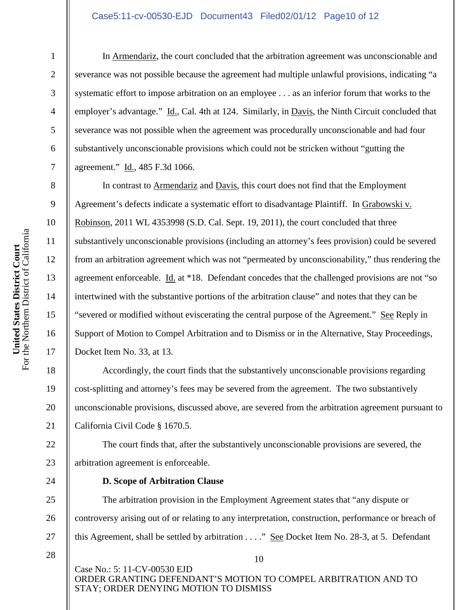### Case5:11-cv-00530-EJD Document43 Filed02/01/12 Page10 of 12

1

2

3

4

5

6

7

8

9

10

11

12

13

14

15

16

17

18

19

20

21

22

23

24

25

26

27

In Armendariz, the court concluded that the arbitration agreement was unconscionable and severance was not possible because the agreement had multiple unlawful provisions, indicating "a systematic effort to impose arbitration on an employee . . . as an inferior forum that works to the employer's advantage." Id., Cal. 4th at 124. Similarly, in Davis, the Ninth Circuit concluded that severance was not possible when the agreement was procedurally unconscionable and had four substantively unconscionable provisions which could not be stricken without "gutting the agreement." Id., 485 F.3d 1066.

In contrast to Armendariz and Davis, this court does not find that the Employment Agreement's defects indicate a systematic effort to disadvantage Plaintiff. In Grabowski v. Robinson, 2011 WL 4353998 (S.D. Cal. Sept. 19, 2011), the court concluded that three substantively unconscionable provisions (including an attorney's fees provision) could be severed from an arbitration agreement which was not "permeated by unconscionability," thus rendering the agreement enforceable. Id. at \*18. Defendant concedes that the challenged provisions are not "so intertwined with the substantive portions of the arbitration clause" and notes that they can be "severed or modified without eviscerating the central purpose of the Agreement." See Reply in Support of Motion to Compel Arbitration and to Dismiss or in the Alternative, Stay Proceedings, Docket Item No. 33, at 13.

Accordingly, the court finds that the substantively unconscionable provisions regarding cost-splitting and attorney's fees may be severed from the agreement. The two substantively unconscionable provisions, discussed above, are severed from the arbitration agreement pursuant to California Civil Code § 1670.5.

The court finds that, after the substantively unconscionable provisions are severed, the arbitration agreement is enforceable.

**D. Scope of Arbitration Clause**

The arbitration provision in the Employment Agreement states that "any dispute or controversy arising out of or relating to any interpretation, construction, performance or breach of this Agreement, shall be settled by arbitration . . . ." See Docket Item No. 28-3, at 5. Defendant

28

Case No.: 5: 11-CV-00530 EJD ORDER GRANTING DEFENDANT'S MOTION TO COMPEL ARBITRATION AND TO STAY; ORDER DENYING MOTION TO DISMISS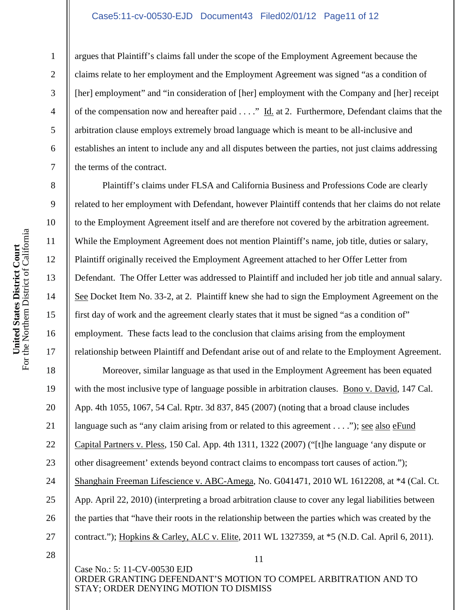#### Case5:11-cv-00530-EJD Document43 Filed02/01/12 Page11 of 12

argues that Plaintiff's claims fall under the scope of the Employment Agreement because the claims relate to her employment and the Employment Agreement was signed "as a condition of [her] employment" and "in consideration of [her] employment with the Company and [her] receipt of the compensation now and hereafter paid . . . ." Id. at 2. Furthermore, Defendant claims that the arbitration clause employs extremely broad language which is meant to be all-inclusive and establishes an intent to include any and all disputes between the parties, not just claims addressing the terms of the contract.

Plaintiff's claims under FLSA and California Business and Professions Code are clearly related to her employment with Defendant, however Plaintiff contends that her claims do not relate to the Employment Agreement itself and are therefore not covered by the arbitration agreement. While the Employment Agreement does not mention Plaintiff's name, job title, duties or salary, Plaintiff originally received the Employment Agreement attached to her Offer Letter from Defendant. The Offer Letter was addressed to Plaintiff and included her job title and annual salary. See Docket Item No. 33-2, at 2. Plaintiff knew she had to sign the Employment Agreement on the first day of work and the agreement clearly states that it must be signed "as a condition of" employment. These facts lead to the conclusion that claims arising from the employment relationship between Plaintiff and Defendant arise out of and relate to the Employment Agreement.

Moreover, similar language as that used in the Employment Agreement has been equated with the most inclusive type of language possible in arbitration clauses. Bono v. David, 147 Cal. App. 4th 1055, 1067, 54 Cal. Rptr. 3d 837, 845 (2007) (noting that a broad clause includes language such as "any claim arising from or related to this agreement . . . ."); see also eFund Capital Partners v. Pless, 150 Cal. App. 4th 1311, 1322 (2007) ("[t]he language 'any dispute or other disagreement' extends beyond contract claims to encompass tort causes of action."); Shanghain Freeman Lifescience v. ABC-Amega, No. G041471, 2010 WL 1612208, at \*4 (Cal. Ct. App. April 22, 2010) (interpreting a broad arbitration clause to cover any legal liabilities between the parties that "have their roots in the relationship between the parties which was created by the contract."); Hopkins & Carley, ALC v. Elite, 2011 WL 1327359, at \*5 (N.D. Cal. April 6, 2011).

Case No.: 5: 11-CV-00530 EJD ORDER GRANTING DEFENDANT'S MOTION TO COMPEL ARBITRATION AND TO STAY; ORDER DENYING MOTION TO DISMISS

11

1

2

3

4

5

6

7

8

9

10

11

12

13

14

15

16

17

18

19

20

21

22

23

24

25

26

<sup>28</sup>